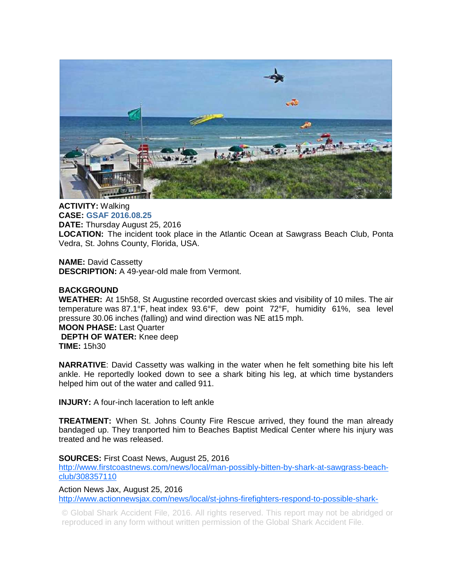

**ACTIVITY:** Walking **CASE: GSAF 2016.08.25 DATE:** Thursday August 25, 2016 **LOCATION:** The incident took place in the Atlantic Ocean at Sawgrass Beach Club, Ponta Vedra, St. Johns County, Florida, USA.

**NAME:** David Cassetty **DESCRIPTION:** A 49-year-old male from Vermont.

## **BACKGROUND**

**WEATHER:** At 15h58, St Augustine recorded overcast skies and visibility of 10 miles. The air temperature was 87.1°F, heat index 93.6°F, dew point 72°F, humidity 61%, sea level pressure 30.06 inches (falling) and wind direction was NE at15 mph.

## **MOON PHASE:** Last Quarter

**DEPTH OF WATER:** Knee deep **TIME:** 15h30

**NARRATIVE**: David Cassetty was walking in the water when he felt something bite his left ankle. He reportedly looked down to see a shark biting his leg, at which time bystanders helped him out of the water and called 911.

**INJURY:** A four-inch laceration to left ankle

**TREATMENT:** When St. Johns County Fire Rescue arrived, they found the man already bandaged up. They tranported him to Beaches Baptist Medical Center where his injury was treated and he was released.

## **SOURCES:** First Coast News, August 25, 2016

http://www.firstcoastnews.com/news/local/man-possibly-bitten-by-shark-at-sawgrass-beachclub/308357110

Action News Jax, August 25, 2016 http://www.actionnewsjax.com/news/local/st-johns-firefighters-respond-to-possible-shark-

© Global Shark Accident File, 2016. All rights reserved. This report may not be abridged or reproduced in any form without written permission of the Global Shark Accident File.